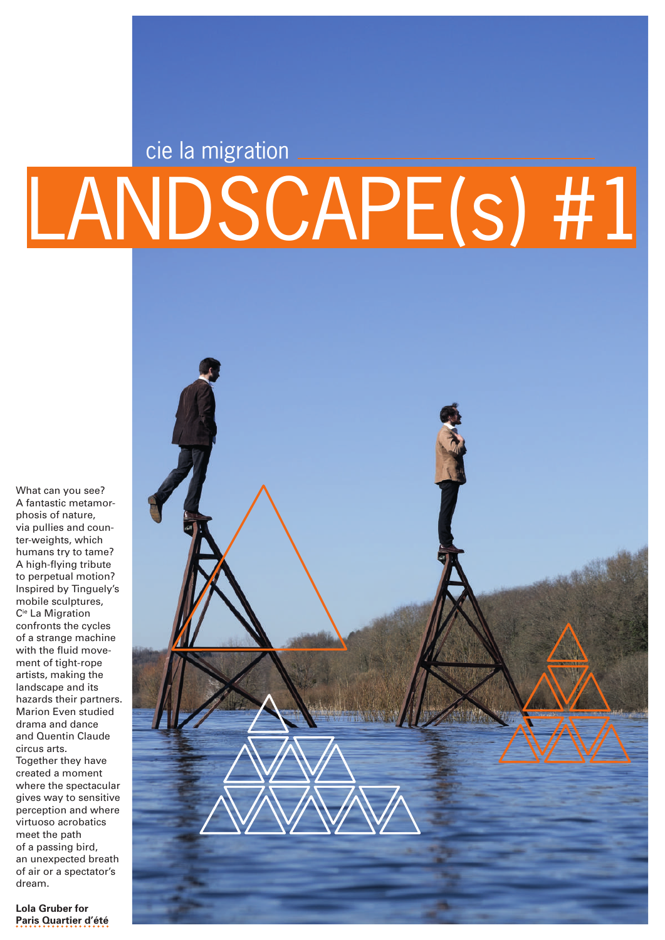# LANDSCAPE(s) #1 cie la migration

What can you see? A fantastic metamorphosis of nature, via pullies and counter-weights, which humans try to tame? A high-flying tribute to perpetual motion? Inspired by Tinguely's mobile sculptures, Cie La Migration confronts the cycles of a strange machine with the fluid movement of tight-rope artists, making the landscape and its hazards their partners. Marion Even studied drama and dance and Quentin Claude circus arts. Together they have created a moment where the spectacular gives way to sensitive perception and where virtuoso acrobatics meet the path of a passing bird, an unexpected breath of air or a spectator's dream.



**Lola Gruber for Paris Quartier d'été**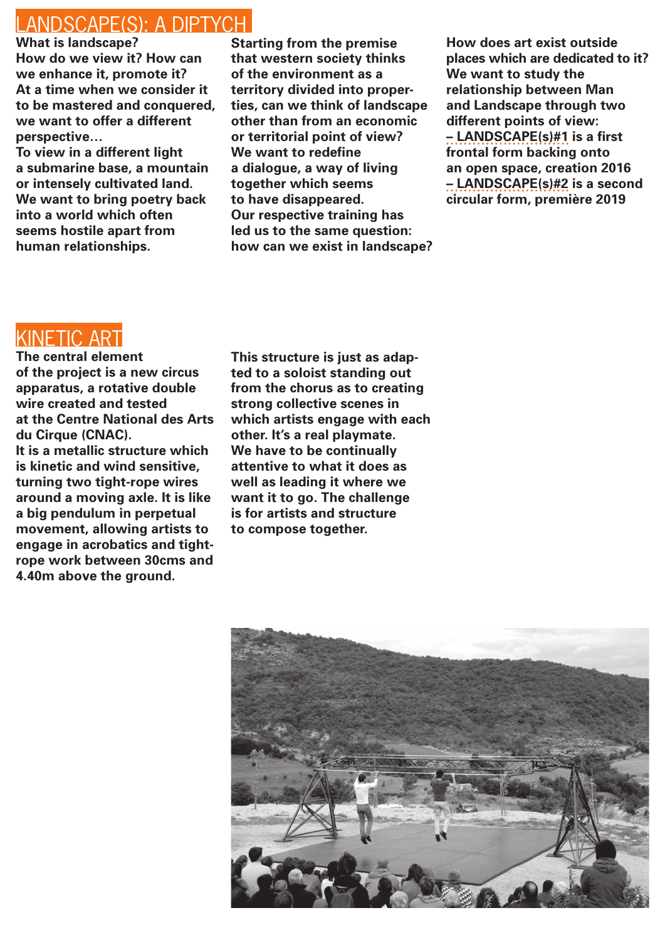### LANDSCAPE(S): A DIPTYCH

**What is landscape? How do we view it? How can we enhance it, promote it? At a time when we consider it to be mastered and conquered, we want to offer a different perspective…** 

**To view in a different light a submarine base, a mountain or intensely cultivated land. We want to bring poetry back into a world which often seems hostile apart from human relationships.**

**Starting from the premise that western society thinks of the environment as a territory divided into properties, can we think of landscape other than from an economic or territorial point of view? We want to redefine a dialogue, a way of living together which seems to have disappeared. Our respective training has led us to the same question: how can we exist in landscape?** **How does art exist outside places which are dedicated to it? We want to study the relationship between Man and Landscape through two different points of view: – LANDSCAPE(s)#1 is a first frontal form backing onto an open space, creation 2016 – LANDSCAPE(s)#2 is a second circular form, première 2019**

# KINETIC ART

**The central element of the project is a new circus apparatus, a rotative double wire created and tested at the Centre National des Arts du Cirque (CNAC). It is a metallic structure which is kinetic and wind sensitive, turning two tight-rope wires around a moving axle. It is like a big pendulum in perpetual** 

**movement, allowing artists to engage in acrobatics and tightrope work between 30cms and 4.40m above the ground.** 

**This structure is just as adapted to a soloist standing out from the chorus as to creating strong collective scenes in which artists engage with each other. It's a real playmate. We have to be continually attentive to what it does as well as leading it where we want it to go. The challenge is for artists and structure to compose together.**

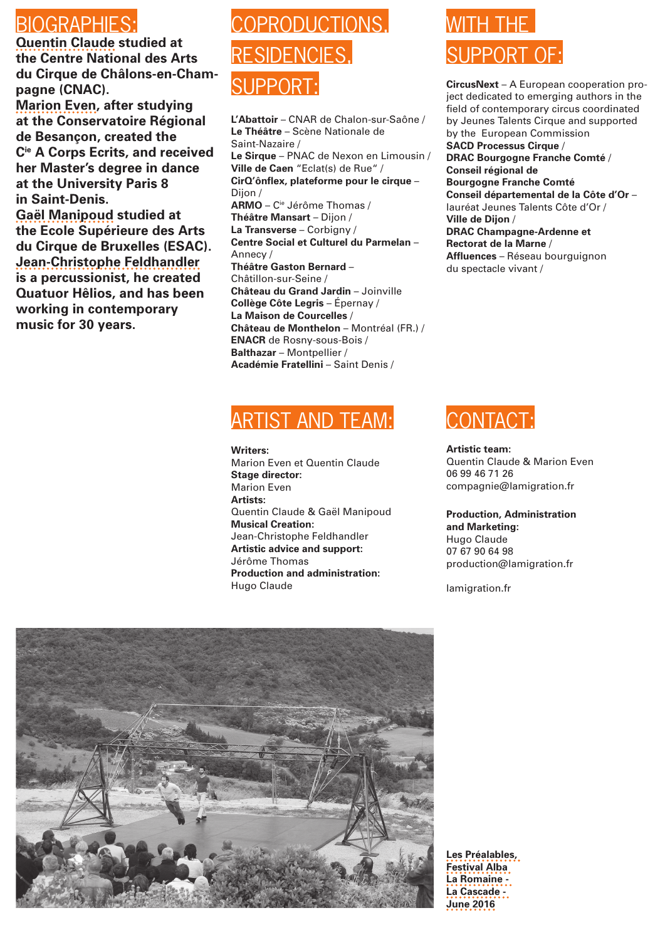### BIOGRAPHIES:

**Quentin Claude studied at the Centre National des Arts du Cirque de Châlons-en-Champagne (CNAC).**

**Marion Even, after studying at the Conservatoire Régional de Besançon, created the Cie A Corps Ecrits, and received her Master's degree in dance at the University Paris 8 in Saint-Denis.**

**Gaël Manipoud studied at the Ecole Supérieure des Arts du Cirque de Bruxelles (ESAC). Jean-Christophe Feldhandler is a percussionist, he created Quatuor Hêlios, and has been working in contemporary music for 30 years.**

# COPRODUCTIONS, RESIDENCIES, SLIPPOR

**L'Abattoir** – CNAR de Chalon-sur-Saône / **Le Théâtre** – Scène Nationale de Saint-Nazaire / **Le Sirque** – PNAC de Nexon en Limousin / **Ville de Caen** "Eclat(s) de Rue" / **CirQ'ônflex, plateforme pour le cirque** – Dijon / **ARMO** – Cie Jérôme Thomas / **Théâtre Mansart** – Dijon / **La Transverse** – Corbigny / **Centre Social et Culturel du Parmelan** – Annecy / **Théâtre Gaston Bernard** – Châtillon-sur-Seine / **Château du Grand Jardin** – Joinville **Collège Côte Legris** – Épernay / **La Maison de Courcelles** / **Château de Monthelon** – Montréal (FR.) / **ENACR** de Rosny-sous-Bois / **Balthazar** – Montpellier / **Académie Fratellini** – Saint Denis /

# ARTIST AND TEAM:

**Writers:** Marion Even et Quentin Claude **Stage director:** Marion Even **Artists:** Quentin Claude & Gaël Manipoud **Musical Creation:** Jean-Christophe Feldhandler **Artistic advice and support:** Jérôme Thomas **Production and administration:** Hugo Claude

# WITH THF SUPPORT OF

**CircusNext** – A European cooperation project dedicated to emerging authors in the field of contemporary circus coordinated by Jeunes Talents Cirque and supported by the European Commission **SACD Processus Cirque** / **DRAC Bourgogne Franche Comté** / **Conseil régional de Bourgogne Franche Comté Conseil départemental de la Côte d'Or** – lauréat Jeunes Talents Côte d'Or / **Ville de Dijon** / **DRAC Champagne-Ardenne et Rectorat de la Marne** / **Affluences** – Réseau bourguignon du spectacle vivant /



**Artistic team:** Quentin Claude & Marion Even 06 99 46 71 26 compagnie@lamigration.fr

#### **Production, Administration and Marketing:**  Hugo Claude

07 67 90 64 98 production@lamigration.fr

lamigration.fr



**Les Préalables, Festival Alba La Romaine - La Cascade - June 2016**